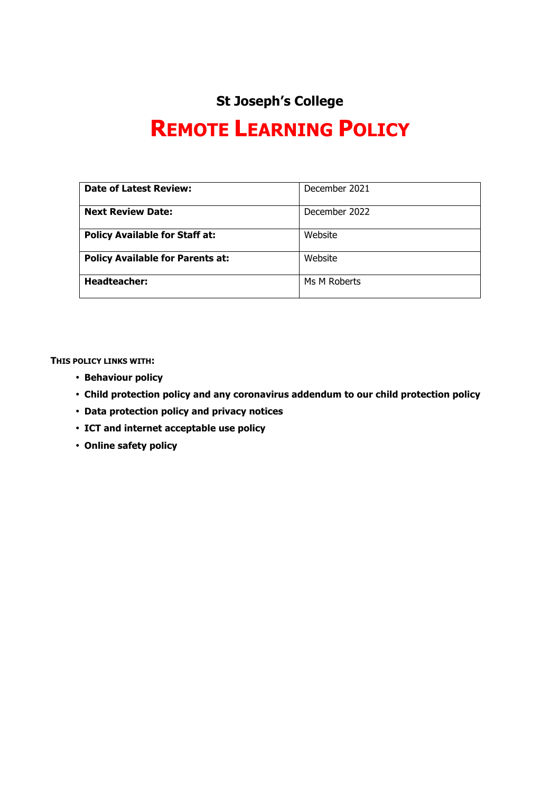# **St Joseph's College**

# **REMOTE LEARNING POLICY**

| <b>Date of Latest Review:</b>           | December 2021 |
|-----------------------------------------|---------------|
| <b>Next Review Date:</b>                | December 2022 |
| <b>Policy Available for Staff at:</b>   | Website       |
| <b>Policy Available for Parents at:</b> | Website       |
| <b>Headteacher:</b>                     | Ms M Roberts  |

**THIS POLICY LINKS WITH:**

- **Behaviour policy**
- **Child protection policy and any coronavirus addendum to our child protection policy**
- **Data protection policy and privacy notices**
- **ICT and internet acceptable use policy**
- **Online safety policy**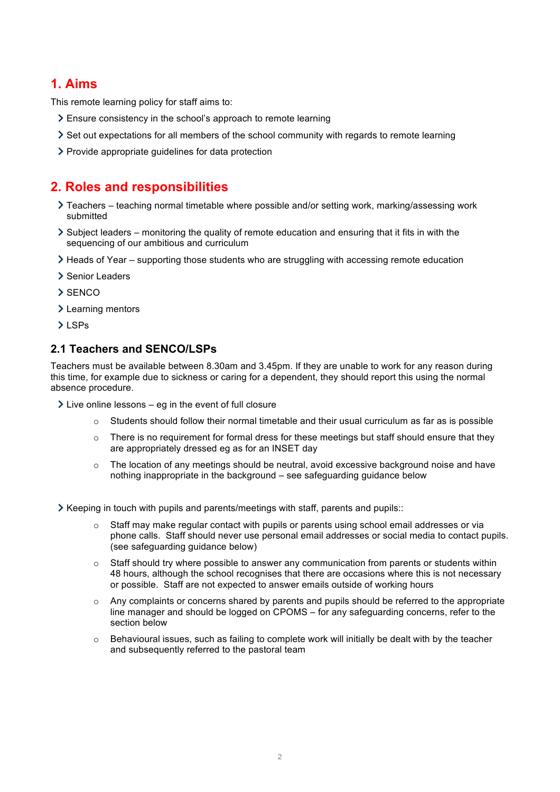# **1. Aims**

This remote learning policy for staff aims to:

- Ensure consistency in the school's approach to remote learning
- Set out expectations for all members of the school community with regards to remote learning
- > Provide appropriate guidelines for data protection

# **2. Roles and responsibilities**

- Teachers teaching normal timetable where possible and/or setting work, marking/assessing work submitted
- $\geq$  Subject leaders monitoring the quality of remote education and ensuring that it fits in with the sequencing of our ambitious and curriculum
- Heads of Year supporting those students who are struggling with accessing remote education
- > Senior Leaders
- $>$  SENCO
- > Learning mentors
- >LSPs

### **2.1 Teachers and SENCO/LSPs**

Teachers must be available between 8.30am and 3.45pm. If they are unable to work for any reason during this time, for example due to sickness or caring for a dependent, they should report this using the normal absence procedure.

- $\geq$  Live online lessons eq in the event of full closure
	- $\circ$  Students should follow their normal timetable and their usual curriculum as far as is possible
	- $\circ$  There is no requirement for formal dress for these meetings but staff should ensure that they are appropriately dressed eg as for an INSET day
	- $\circ$  The location of any meetings should be neutral, avoid excessive background noise and have nothing inappropriate in the background – see safeguarding guidance below

 $\geq$  Keeping in touch with pupils and parents/meetings with staff, parents and pupils::

- Staff may make regular contact with pupils or parents using school email addresses or via phone calls. Staff should never use personal email addresses or social media to contact pupils. (see safeguarding guidance below)
- o Staff should try where possible to answer any communication from parents or students within 48 hours, although the school recognises that there are occasions where this is not necessary or possible. Staff are not expected to answer emails outside of working hours
- Any complaints or concerns shared by parents and pupils should be referred to the appropriate line manager and should be logged on CPOMS – for any safeguarding concerns, refer to the section below
- $\circ$  Behavioural issues, such as failing to complete work will initially be dealt with by the teacher and subsequently referred to the pastoral team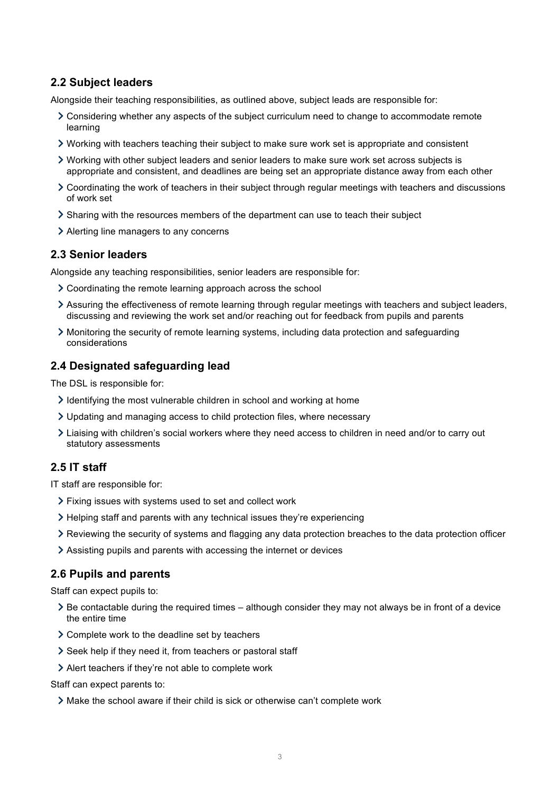### **2.2 Subject leaders**

Alongside their teaching responsibilities, as outlined above, subject leads are responsible for:

- Considering whether any aspects of the subject curriculum need to change to accommodate remote learning
- Working with teachers teaching their subject to make sure work set is appropriate and consistent
- Working with other subject leaders and senior leaders to make sure work set across subjects is appropriate and consistent, and deadlines are being set an appropriate distance away from each other
- Coordinating the work of teachers in their subject through regular meetings with teachers and discussions of work set
- Sharing with the resources members of the department can use to teach their subject
- Alerting line managers to any concerns

### **2.3 Senior leaders**

Alongside any teaching responsibilities, senior leaders are responsible for:

- Coordinating the remote learning approach across the school
- Assuring the effectiveness of remote learning through regular meetings with teachers and subject leaders, discussing and reviewing the work set and/or reaching out for feedback from pupils and parents
- Monitoring the security of remote learning systems, including data protection and safeguarding considerations

### **2.4 Designated safeguarding lead**

The DSL is responsible for:

- $\geq$  Identifying the most vulnerable children in school and working at home
- Updating and managing access to child protection files, where necessary
- Liaising with children's social workers where they need access to children in need and/or to carry out statutory assessments

### **2.5 IT staff**

IT staff are responsible for:

- Fixing issues with systems used to set and collect work
- $\geq$  Helping staff and parents with any technical issues they're experiencing
- Reviewing the security of systems and flagging any data protection breaches to the data protection officer
- Assisting pupils and parents with accessing the internet or devices

#### **2.6 Pupils and parents**

Staff can expect pupils to:

- $\geq$  Be contactable during the required times although consider they may not always be in front of a device the entire time
- Complete work to the deadline set by teachers
- Seek help if they need it, from teachers or pastoral staff
- Alert teachers if they're not able to complete work

Staff can expect parents to:

Make the school aware if their child is sick or otherwise can't complete work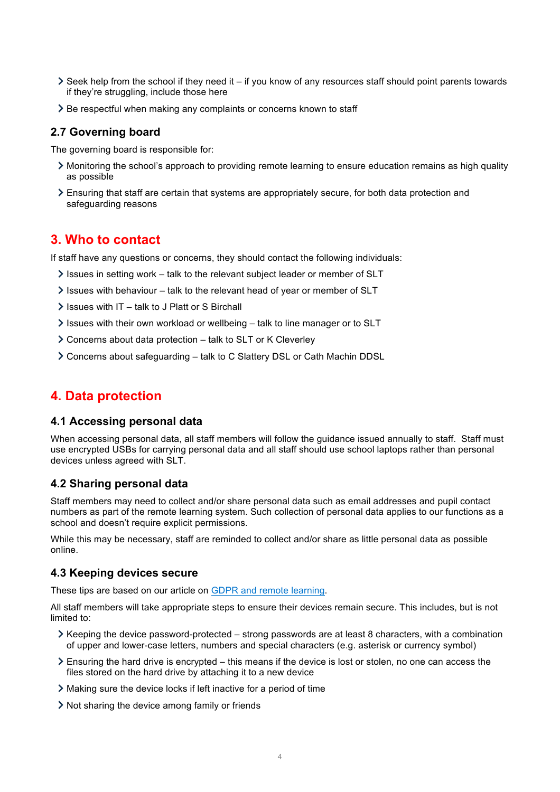- $\geq$  Seek help from the school if they need it if you know of any resources staff should point parents towards if they're struggling, include those here
- > Be respectful when making any complaints or concerns known to staff

#### **2.7 Governing board**

The governing board is responsible for:

- Monitoring the school's approach to providing remote learning to ensure education remains as high quality as possible
- Ensuring that staff are certain that systems are appropriately secure, for both data protection and safeguarding reasons

# **3. Who to contact**

If staff have any questions or concerns, they should contact the following individuals:

- $\ge$  Issues in setting work talk to the relevant subject leader or member of SLT
- $\ge$  Issues with behaviour talk to the relevant head of year or member of SLT
- $\ge$  Issues with IT talk to J Platt or S Birchall
- Issues with their own workload or wellbeing talk to line manager or to SLT
- Concerns about data protection talk to SLT or K Cleverley
- Concerns about safeguarding talk to C Slattery DSL or Cath Machin DDSL

# **4. Data protection**

#### **4.1 Accessing personal data**

When accessing personal data, all staff members will follow the guidance issued annually to staff. Staff must use encrypted USBs for carrying personal data and all staff should use school laptops rather than personal devices unless agreed with SLT.

#### **4.2 Sharing personal data**

Staff members may need to collect and/or share personal data such as email addresses and pupil contact numbers as part of the remote learning system. Such collection of personal data applies to our functions as a school and doesn't require explicit permissions.

While this may be necessary, staff are reminded to collect and/or share as little personal data as possible online.

#### **4.3 Keeping devices secure**

These tips are based on our article on GDPR and remote learning.

All staff members will take appropriate steps to ensure their devices remain secure. This includes, but is not limited to:

- $\geq$  Keeping the device password-protected strong passwords are at least 8 characters, with a combination of upper and lower-case letters, numbers and special characters (e.g. asterisk or currency symbol)
- Ensuring the hard drive is encrypted this means if the device is lost or stolen, no one can access the files stored on the hard drive by attaching it to a new device
- Making sure the device locks if left inactive for a period of time
- Not sharing the device among family or friends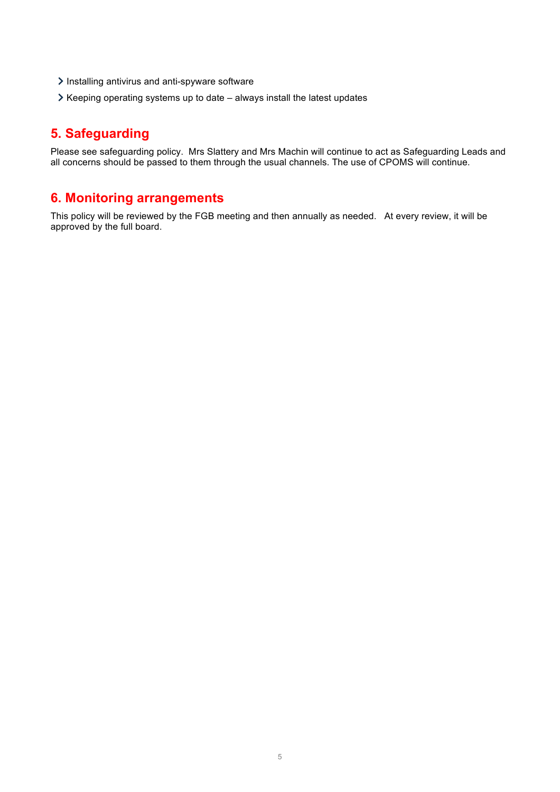- Installing antivirus and anti-spyware software
- $\triangleright$  Keeping operating systems up to date always install the latest updates

# **5. Safeguarding**

Please see safeguarding policy. Mrs Slattery and Mrs Machin will continue to act as Safeguarding Leads and all concerns should be passed to them through the usual channels. The use of CPOMS will continue.

# **6. Monitoring arrangements**

This policy will be reviewed by the FGB meeting and then annually as needed. At every review, it will be approved by the full board.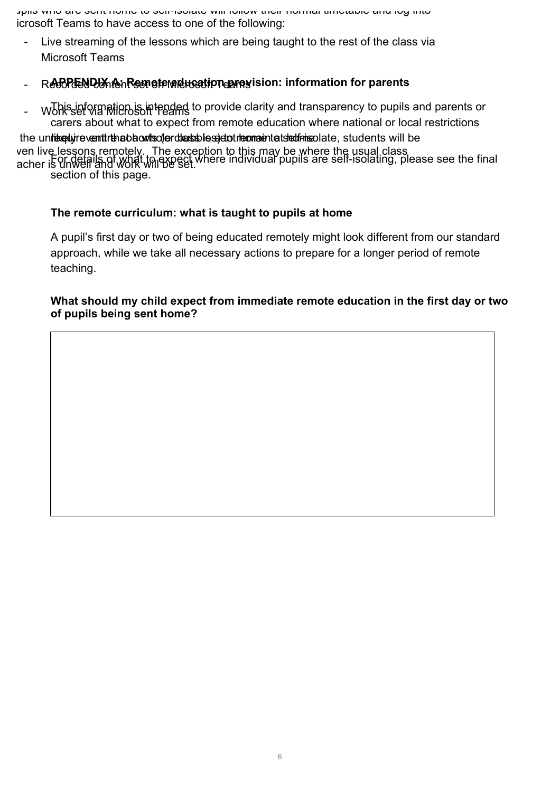Pupils who are sent home to self-isolate will follow their normal timetable and log into icrosoft Teams to have access to one of the following:

Live streaming of the lessons which are being taught to the rest of the class via Microsoft Teams

# - Recorden De Kendte education provision: information for parents

- Works ef winding intended to provide clarity and transparency to pupils and parents or carers about what to expect from remote education where national or local restrictions

the unlike plyine ventit that black is clerid as is self-international to the main that when the class will be For details of what to expect where individual pupils are self-isolating, please see the final section of this page. ven live lessons remotely. The exception to this may be where the usual class acher is unwell and work will be set.

# **The remote curriculum: what is taught to pupils at home**

A pupil's first day or two of being educated remotely might look different from our standard approach, while we take all necessary actions to prepare for a longer period of remote teaching.

### **What should my child expect from immediate remote education in the first day or two of pupils being sent home?**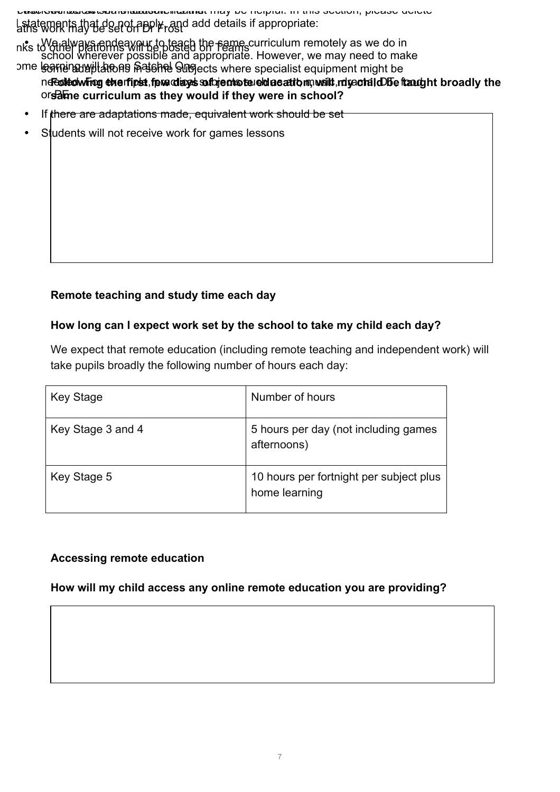Please see below some statements that may be helpful. In this section, please delete All work will be set via Microsoft Teams Latatements that do not apply, and add details if appropriate:

• Wa always endeavour to teach the same curriculum remotely as we do in school wherever possible and appropriate. However, we may need to make nks to other platforms will be posted on Teams

ne **Following the first few days subjects tele das at the wailt report in DT e fraught broadly the** orsame curriculum as they would if they were in school? <del>ક୍ଷୋ</del>ଧାର୍ଥ୍ୟା<del>ୟା</del> ଉପର କ୍ରିୟିତା । କ୍ରିୟିତା ସେ ବାର୍ଡି କ୍ରିୟା କ୍ରିୟାର୍ଡି ସେ ସେ କ୍ରିୟାର୍ଡି । କ୍ରେମାର୍ଡ୍ କ୍ରିୟାର୍ଡ୍ କ ome l<del>ear</del>ning will areas patchel One

- If there are adaptations made, equivalent work should be set
- Students will not receive work for games lessons

# **Remote teaching and study time each day**

### **How long can I expect work set by the school to take my child each day?**

We expect that remote education (including remote teaching and independent work) will take pupils broadly the following number of hours each day:

| <b>Key Stage</b>  | Number of hours                                          |
|-------------------|----------------------------------------------------------|
| Key Stage 3 and 4 | 5 hours per day (not including games<br>afternoons)      |
| Key Stage 5       | 10 hours per fortnight per subject plus<br>home learning |

# **Accessing remote education**

# **How will my child access any online remote education you are providing?**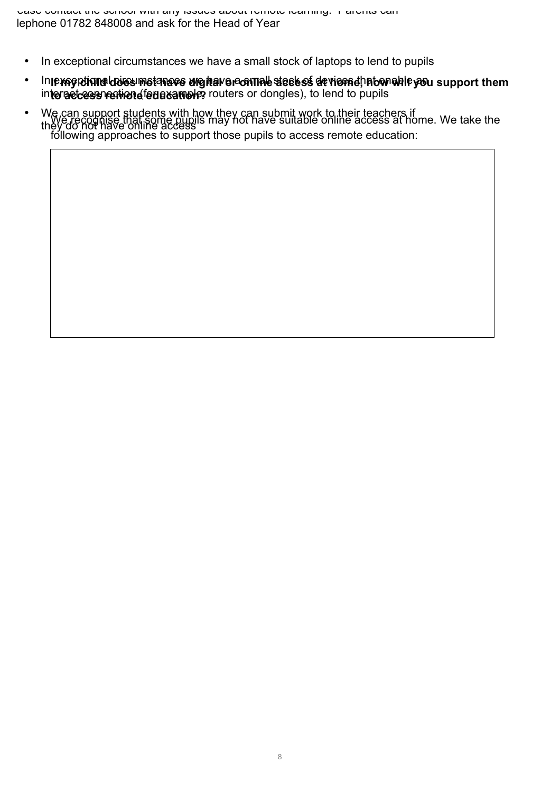- In exceptional circumstances we have a small stock of laptops to lend to pupils
- In exsenctional correspondent we have a sommed stock of the stock of have a support them interactess remited for a sample, routers or dongles), to lend to pupils
- We recognise that some pupils may not have suitable online access at home. We take the following approaches to support those pupils to access remote education: • We can support students with how they can submit work to their teachers if they do not have online access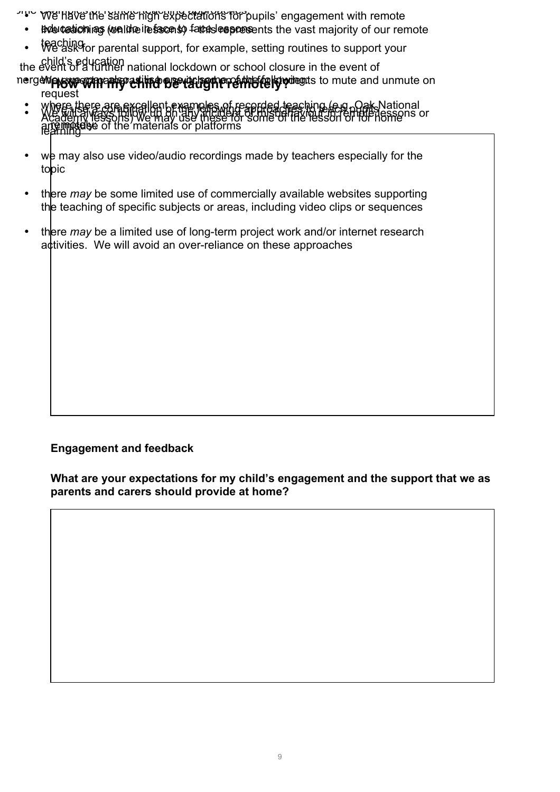">"> We have the same high expectations for pupils' engagement with remote

- Brole teation as (we linke ite faces to fate as deposents the vast majority of our remote
- teaching for parental support, for example, setting routines to support your

the child's education<br>the event of a further national lockdown or school closure in the event of

**hergen prove which for existed be red for the following to mute and unmute on** request

- WE E LIELE ALF EXCHIENT EXEMPLIES OF FECOLOGICAL CARD PUBILS. remotelye • where there are excellent examples of recorded teaching (e.g. Oak National • We will stream in the lessons or the will always for the lesson of the home of the lessons or an any mist of the materials or platforms
- we may also use video/audio recordings made by teachers especially for the topic
- there *may* be some limited use of commercially available websites supporting the teaching of specific subjects or areas, including video clips or sequences
- there *may* be a limited use of long-term project work and/or internet research activities. We will avoid an over-reliance on these approaches

# **Engagement and feedback**

**What are your expectations for my child's engagement and the support that we as parents and carers should provide at home?**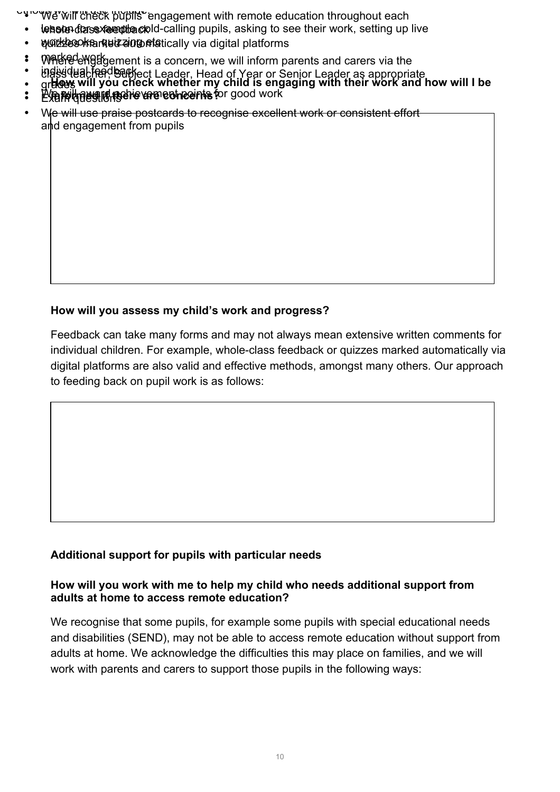UWE' will check pupils engagement with remote education throughout each

- lessue for example cold-calling pupils, asking to see their work, setting up live
- wore be we read that we can be dependenced as the platforms
- Whered emget be ment is a concern, we will inform parents and carers via the
- tl**ass teacher, Subject Leader, Head of Year or Senior Leader as appropriate** • individual feedback
- **How will you check whether my child is engaging with their work and how will I be**  • gr**aders**
- **informed if there are concerns?** : Py mill award a concerne for good work • Exam questions
- We will use praise postcards to recognise excellent work or consistent effort and engagement from pupils

# **How will you assess my child's work and progress?**

Feedback can take many forms and may not always mean extensive written comments for individual children. For example, whole-class feedback or quizzes marked automatically via digital platforms are also valid and effective methods, amongst many others. Our approach to feeding back on pupil work is as follows:

# **Additional support for pupils with particular needs**

# **How will you work with me to help my child who needs additional support from adults at home to access remote education?**

We recognise that some pupils, for example some pupils with special educational needs and disabilities (SEND), may not be able to access remote education without support from adults at home. We acknowledge the difficulties this may place on families, and we will work with parents and carers to support those pupils in the following ways: